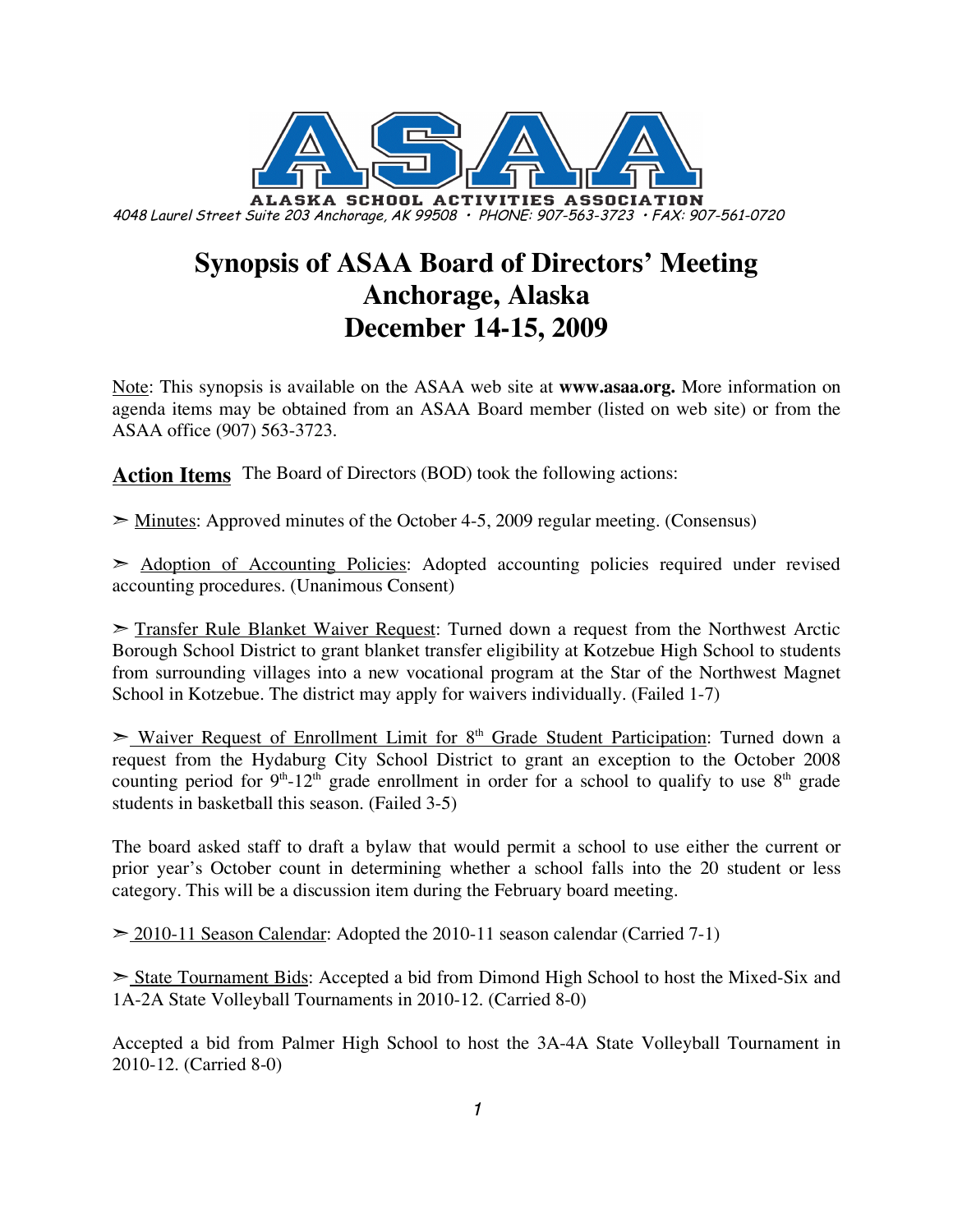

# **Synopsis of ASAA Board of Directors' Meeting Anchorage, Alaska December 14-15, 2009**

Note: This synopsis is available on the ASAA web site at **www.asaa.org.** More information on agenda items may be obtained from an ASAA Board member (listed on web site) or from the ASAA office (907) 563-3723.

**Action Items** The Board of Directors (BOD) took the following actions:

➣ Minutes: Approved minutes of the October 4-5, 2009 regular meeting. (Consensus)

➣ Adoption of Accounting Policies: Adopted accounting policies required under revised accounting procedures. (Unanimous Consent)

➣ Transfer Rule Blanket Waiver Request: Turned down a request from the Northwest Arctic Borough School District to grant blanket transfer eligibility at Kotzebue High School to students from surrounding villages into a new vocational program at the Star of the Northwest Magnet School in Kotzebue. The district may apply for waivers individually. (Failed 1-7)

► Waiver Request of Enrollment Limit for 8<sup>th</sup> Grade Student Participation: Turned down a request from the Hydaburg City School District to grant an exception to the October 2008 counting period for  $9<sup>th</sup> - 12<sup>th</sup>$  grade enrollment in order for a school to qualify to use  $8<sup>th</sup>$  grade students in basketball this season. (Failed 3-5)

The board asked staff to draft a bylaw that would permit a school to use either the current or prior year's October count in determining whether a school falls into the 20 student or less category. This will be a discussion item during the February board meeting.

 $\geq$  2010-11 Season Calendar: Adopted the 2010-11 season calendar (Carried 7-1)

➣ State Tournament Bids: Accepted a bid from Dimond High School to host the Mixed-Six and 1A-2A State Volleyball Tournaments in 2010-12. (Carried 8-0)

Accepted a bid from Palmer High School to host the 3A-4A State Volleyball Tournament in 2010-12. (Carried 8-0)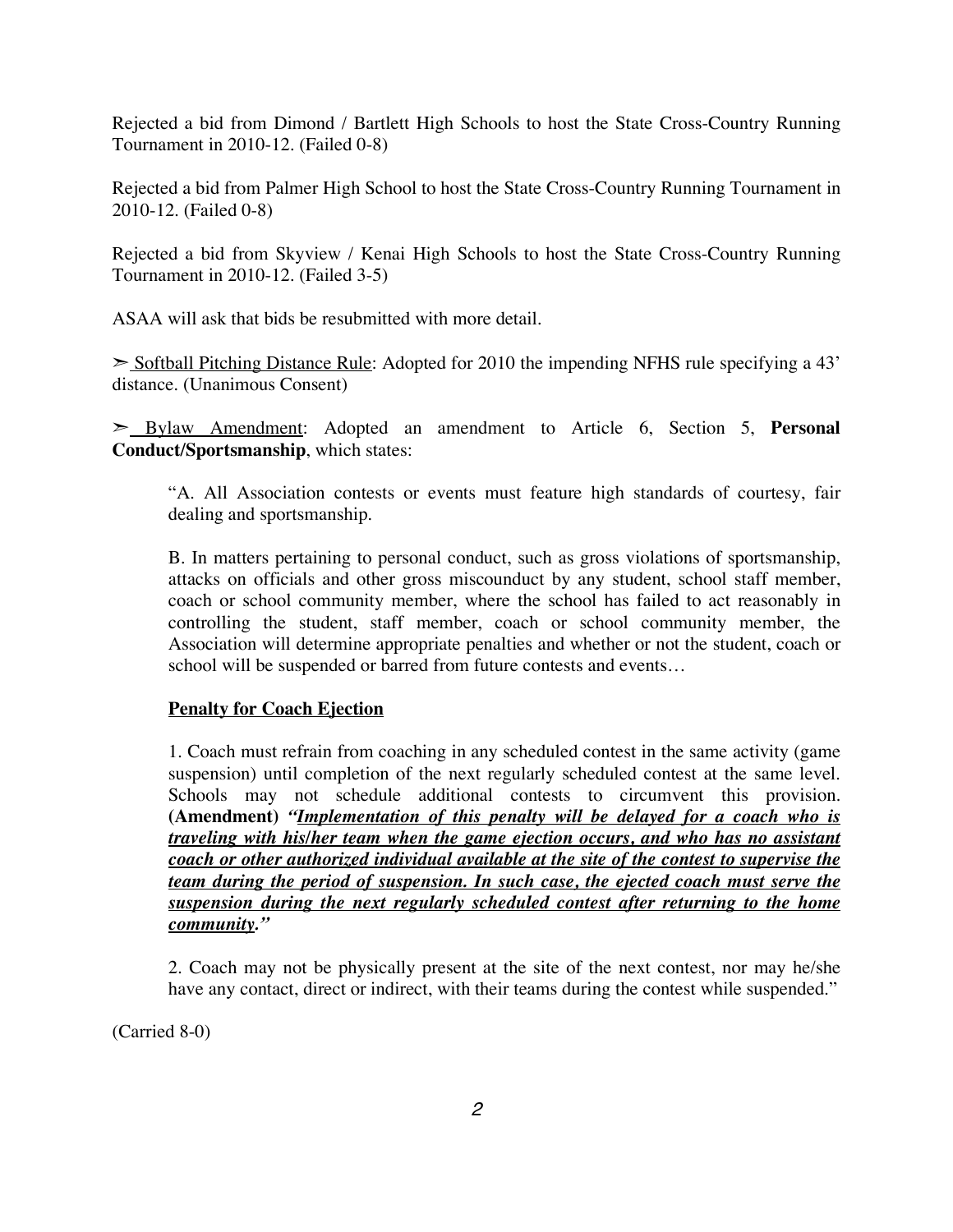Rejected a bid from Dimond / Bartlett High Schools to host the State Cross-Country Running Tournament in 2010-12. (Failed 0-8)

Rejected a bid from Palmer High School to host the State Cross-Country Running Tournament in 2010-12. (Failed 0-8)

Rejected a bid from Skyview / Kenai High Schools to host the State Cross-Country Running Tournament in 2010-12. (Failed 3-5)

ASAA will ask that bids be resubmitted with more detail.

➣ Softball Pitching Distance Rule: Adopted for 2010 the impending NFHS rule specifying a 43' distance. (Unanimous Consent)

➣ Bylaw Amendment: Adopted an amendment to Article 6, Section 5, **Personal Conduct/Sportsmanship**, which states:

"A. All Association contests or events must feature high standards of courtesy, fair dealing and sportsmanship.

B. In matters pertaining to personal conduct, such as gross violations of sportsmanship, attacks on officials and other gross miscounduct by any student, school staff member, coach or school community member, where the school has failed to act reasonably in controlling the student, staff member, coach or school community member, the Association will determine appropriate penalties and whether or not the student, coach or school will be suspended or barred from future contests and events…

## **Penalty for Coach Ejection**

1. Coach must refrain from coaching in any scheduled contest in the same activity (game suspension) until completion of the next regularly scheduled contest at the same level. Schools may not schedule additional contests to circumvent this provision. **(Amendment)** *"Implementation of this penalty will be delayed for a coach who is traveling with his/her team when the game ejection occurs, and who has no assistant coach or other authorized individual available at the site of the contest to supervise the team during the period of suspension. In such case, the ejected coach must serve the suspension during the next regularly scheduled contest after returning to the home community."*

2. Coach may not be physically present at the site of the next contest, nor may he/she have any contact, direct or indirect, with their teams during the contest while suspended."

(Carried 8-0)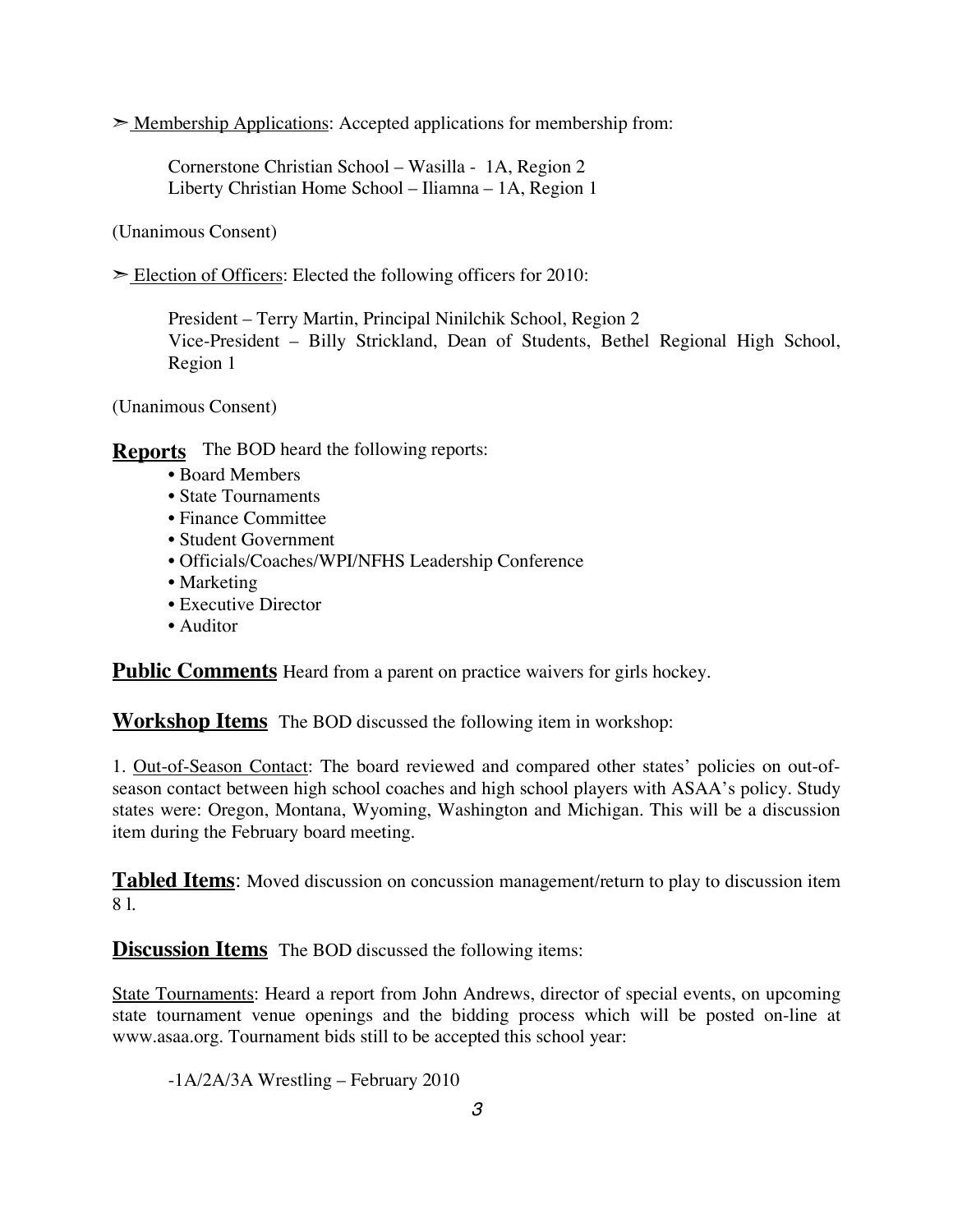$\geq$  Membership Applications: Accepted applications for membership from:

Cornerstone Christian School – Wasilla - 1A, Region 2 Liberty Christian Home School – Iliamna – 1A, Region 1

(Unanimous Consent)

 $\geq$  Election of Officers: Elected the following officers for 2010:

President – Terry Martin, Principal Ninilchik School, Region 2 Vice-President – Billy Strickland, Dean of Students, Bethel Regional High School, Region 1

(Unanimous Consent)

**Reports** The BOD heard the following reports:

- Board Members
- State Tournaments
- Finance Committee
- Student Government
- Officials/Coaches/WPI/NFHS Leadership Conference
- Marketing
- Executive Director
- Auditor

**Public Comments** Heard from a parent on practice waivers for girls hockey.

**Workshop Items** The BOD discussed the following item in workshop:

1. Out-of-Season Contact: The board reviewed and compared other states' policies on out-ofseason contact between high school coaches and high school players with ASAA's policy. Study states were: Oregon, Montana, Wyoming, Washington and Michigan. This will be a discussion item during the February board meeting.

**Tabled Items**: Moved discussion on concussion management/return to play to discussion item 8 l.

**Discussion Items** The BOD discussed the following items:

State Tournaments: Heard a report from John Andrews, director of special events, on upcoming state tournament venue openings and the bidding process which will be posted on-line at www.asaa.org. Tournament bids still to be accepted this school year:

-1A/2A/3A Wrestling – February 2010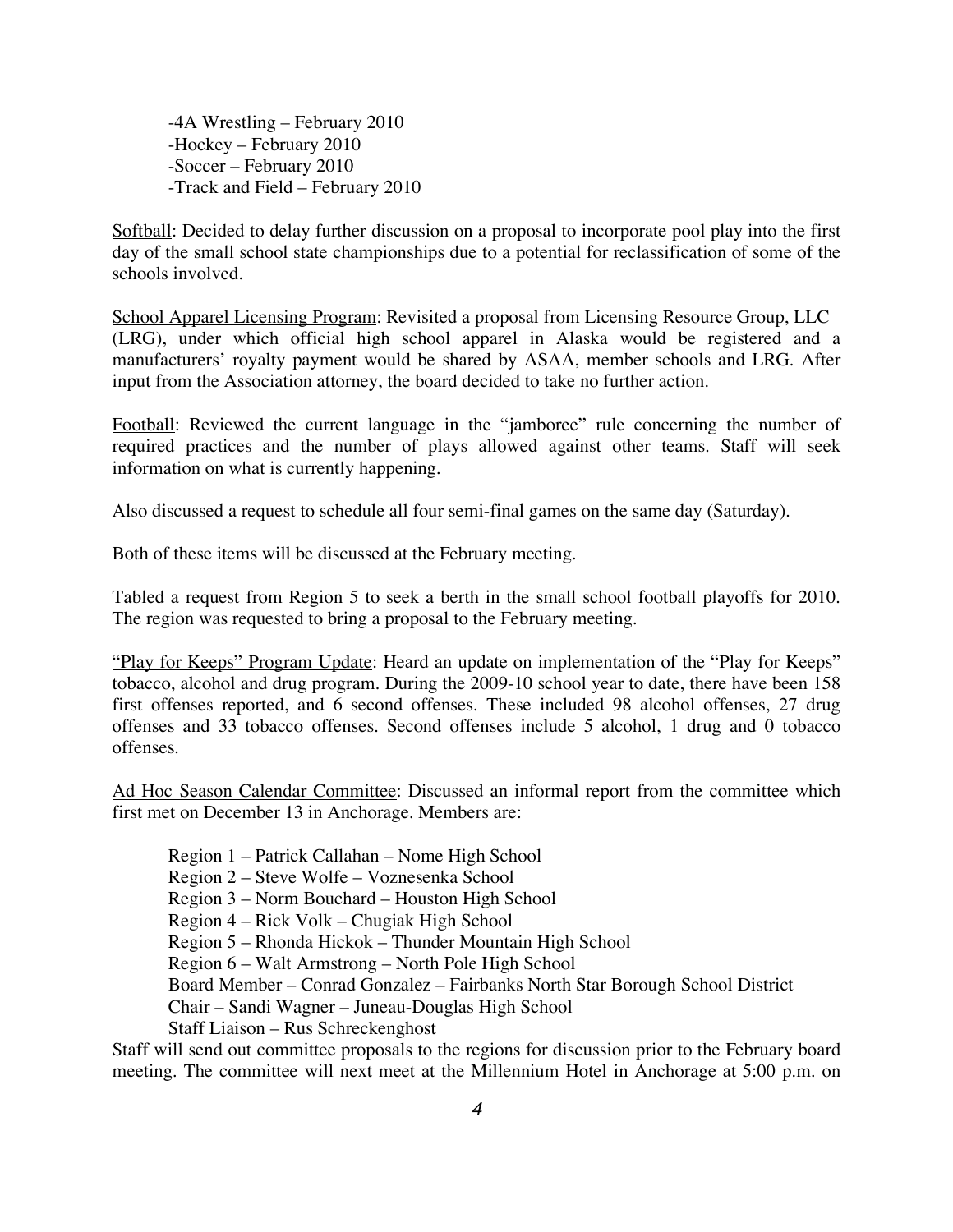-4A Wrestling – February 2010 -Hockey – February 2010 -Soccer – February 2010 -Track and Field – February 2010

Softball: Decided to delay further discussion on a proposal to incorporate pool play into the first day of the small school state championships due to a potential for reclassification of some of the schools involved.

School Apparel Licensing Program: Revisited a proposal from Licensing Resource Group, LLC (LRG), under which official high school apparel in Alaska would be registered and a manufacturers' royalty payment would be shared by ASAA, member schools and LRG. After input from the Association attorney, the board decided to take no further action.

Football: Reviewed the current language in the "jamboree" rule concerning the number of required practices and the number of plays allowed against other teams. Staff will seek information on what is currently happening.

Also discussed a request to schedule all four semi-final games on the same day (Saturday).

Both of these items will be discussed at the February meeting.

Tabled a request from Region 5 to seek a berth in the small school football playoffs for 2010. The region was requested to bring a proposal to the February meeting.

"Play for Keeps" Program Update: Heard an update on implementation of the "Play for Keeps" tobacco, alcohol and drug program. During the 2009-10 school year to date, there have been 158 first offenses reported, and 6 second offenses. These included 98 alcohol offenses, 27 drug offenses and 33 tobacco offenses. Second offenses include 5 alcohol, 1 drug and 0 tobacco offenses.

Ad Hoc Season Calendar Committee: Discussed an informal report from the committee which first met on December 13 in Anchorage. Members are:

Region 1 – Patrick Callahan – Nome High School

Region 2 – Steve Wolfe – Voznesenka School

Region 3 – Norm Bouchard – Houston High School

Region 4 – Rick Volk – Chugiak High School

Region 5 – Rhonda Hickok – Thunder Mountain High School

Region 6 – Walt Armstrong – North Pole High School

Board Member – Conrad Gonzalez – Fairbanks North Star Borough School District

Chair – Sandi Wagner – Juneau-Douglas High School

Staff Liaison – Rus Schreckenghost

Staff will send out committee proposals to the regions for discussion prior to the February board meeting. The committee will next meet at the Millennium Hotel in Anchorage at 5:00 p.m. on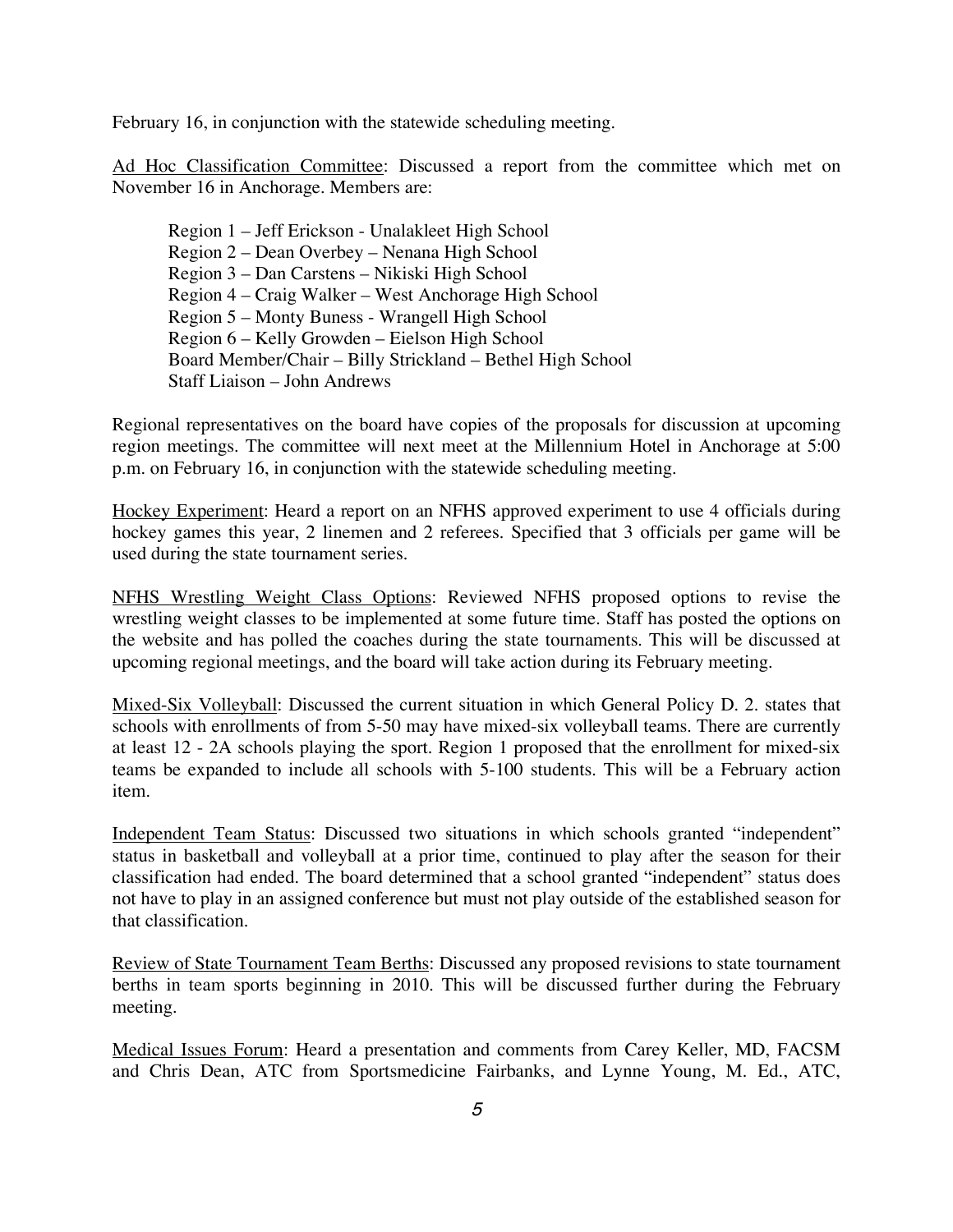February 16, in conjunction with the statewide scheduling meeting.

Ad Hoc Classification Committee: Discussed a report from the committee which met on November 16 in Anchorage. Members are:

Region 1 – Jeff Erickson - Unalakleet High School Region 2 – Dean Overbey – Nenana High School Region 3 – Dan Carstens – Nikiski High School Region 4 – Craig Walker – West Anchorage High School Region 5 – Monty Buness - Wrangell High School Region 6 – Kelly Growden – Eielson High School Board Member/Chair – Billy Strickland – Bethel High School Staff Liaison – John Andrews

Regional representatives on the board have copies of the proposals for discussion at upcoming region meetings. The committee will next meet at the Millennium Hotel in Anchorage at 5:00 p.m. on February 16, in conjunction with the statewide scheduling meeting.

Hockey Experiment: Heard a report on an NFHS approved experiment to use 4 officials during hockey games this year, 2 linemen and 2 referees. Specified that 3 officials per game will be used during the state tournament series.

NFHS Wrestling Weight Class Options: Reviewed NFHS proposed options to revise the wrestling weight classes to be implemented at some future time. Staff has posted the options on the website and has polled the coaches during the state tournaments. This will be discussed at upcoming regional meetings, and the board will take action during its February meeting.

Mixed-Six Volleyball: Discussed the current situation in which General Policy D. 2. states that schools with enrollments of from 5-50 may have mixed-six volleyball teams. There are currently at least 12 - 2A schools playing the sport. Region 1 proposed that the enrollment for mixed-six teams be expanded to include all schools with 5-100 students. This will be a February action item.

Independent Team Status: Discussed two situations in which schools granted "independent" status in basketball and volleyball at a prior time, continued to play after the season for their classification had ended. The board determined that a school granted "independent" status does not have to play in an assigned conference but must not play outside of the established season for that classification.

Review of State Tournament Team Berths: Discussed any proposed revisions to state tournament berths in team sports beginning in 2010. This will be discussed further during the February meeting.

Medical Issues Forum: Heard a presentation and comments from Carey Keller, MD, FACSM and Chris Dean, ATC from Sportsmedicine Fairbanks, and Lynne Young, M. Ed., ATC,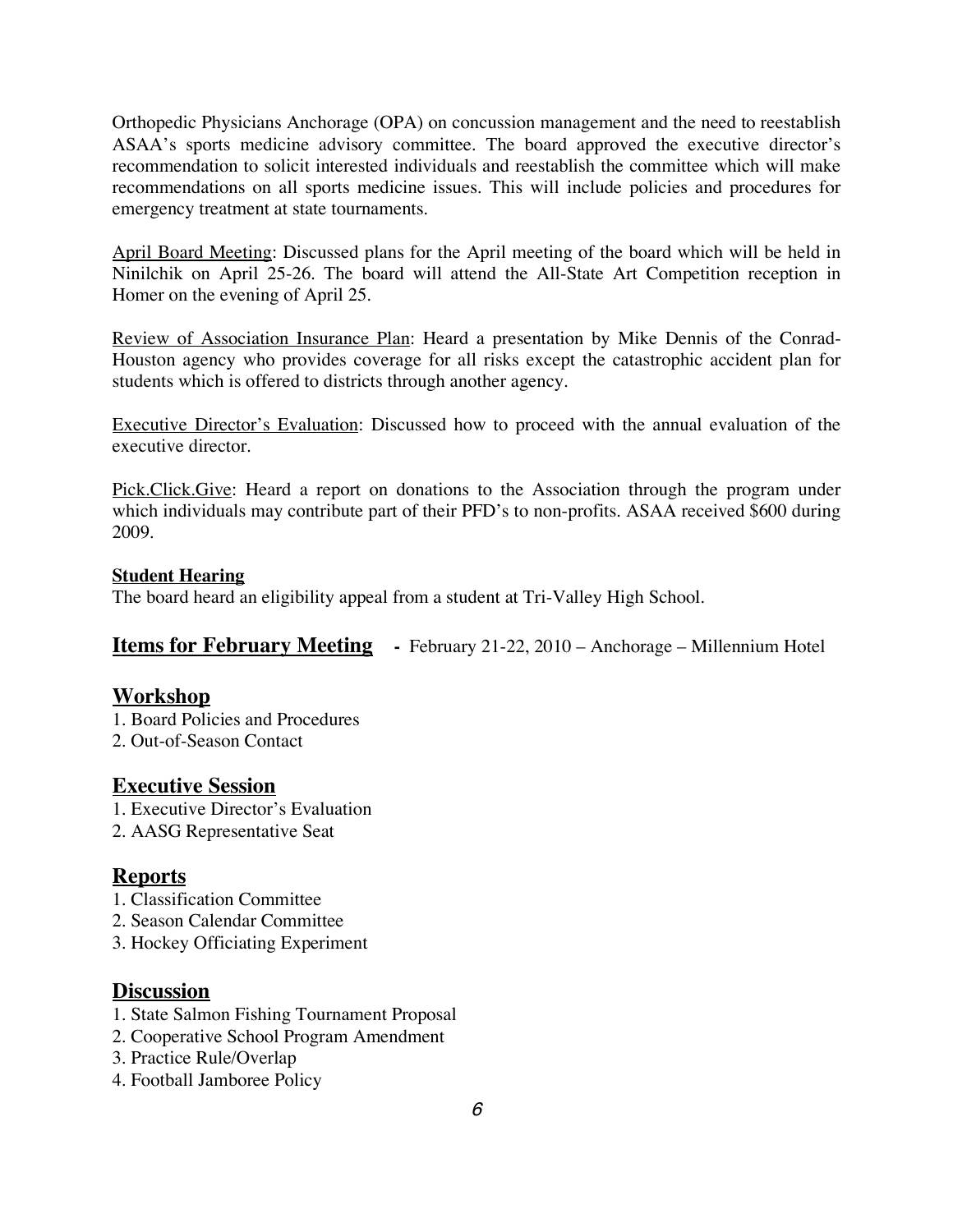Orthopedic Physicians Anchorage (OPA) on concussion management and the need to reestablish ASAA's sports medicine advisory committee. The board approved the executive director's recommendation to solicit interested individuals and reestablish the committee which will make recommendations on all sports medicine issues. This will include policies and procedures for emergency treatment at state tournaments.

April Board Meeting: Discussed plans for the April meeting of the board which will be held in Ninilchik on April 25-26. The board will attend the All-State Art Competition reception in Homer on the evening of April 25.

Review of Association Insurance Plan: Heard a presentation by Mike Dennis of the Conrad-Houston agency who provides coverage for all risks except the catastrophic accident plan for students which is offered to districts through another agency.

Executive Director's Evaluation: Discussed how to proceed with the annual evaluation of the executive director.

Pick.Click.Give: Heard a report on donations to the Association through the program under which individuals may contribute part of their PFD's to non-profits. ASAA received \$600 during 2009.

## **Student Hearing**

The board heard an eligibility appeal from a student at Tri-Valley High School.

**Items for February Meeting -** February 21-22, 2010 – Anchorage – Millennium Hotel

# **Workshop**

- 1. Board Policies and Procedures
- 2. Out-of-Season Contact

# **Executive Session**

- 1. Executive Director's Evaluation
- 2. AASG Representative Seat

## **Reports**

- 1. Classification Committee
- 2. Season Calendar Committee
- 3. Hockey Officiating Experiment

## **Discussion**

- 1. State Salmon Fishing Tournament Proposal
- 2. Cooperative School Program Amendment
- 3. Practice Rule/Overlap
- 4. Football Jamboree Policy